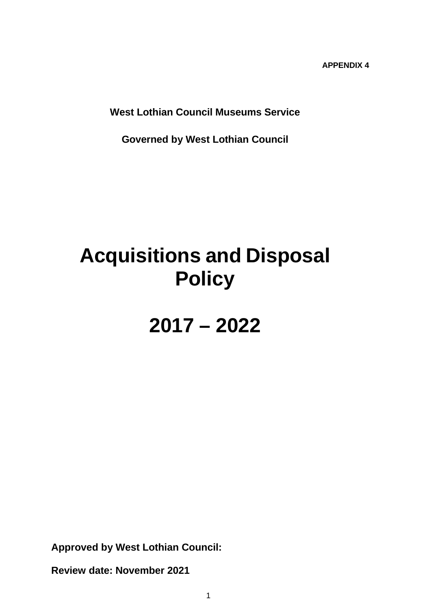**APPENDIX 4** 

**West Lothian Council Museums Service** 

**Governed by West Lothian Council**

# **Acquisitions and Disposal Policy**

**2017 – 2022**

**Approved by West Lothian Council:** 

**Review date: November 2021**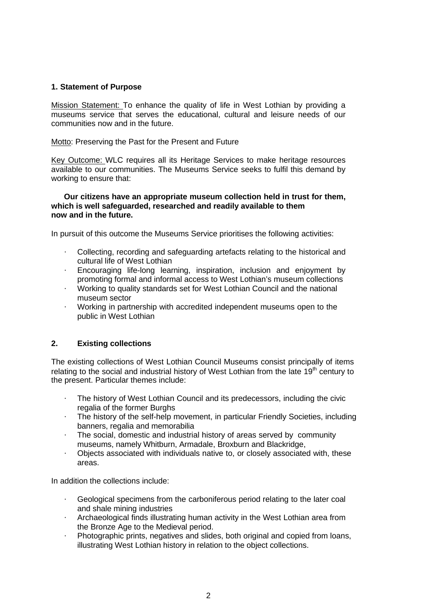# **1. Statement of Purpose**

Mission Statement: To enhance the quality of life in West Lothian by providing a museums service that serves the educational, cultural and leisure needs of our communities now and in the future.

Motto: Preserving the Past for the Present and Future

Key Outcome: WLC requires all its Heritage Services to make heritage resources available to our communities. The Museums Service seeks to fulfil this demand by working to ensure that:

## **Our citizens have an appropriate museum collection held in trust for them, which is well safeguarded, researched and readily available to them now and in the future.**

In pursuit of this outcome the Museums Service prioritises the following activities:

- · Collecting, recording and safeguarding artefacts relating to the historical and cultural life of West Lothian
- · Encouraging life-long learning, inspiration, inclusion and enjoyment by promoting formal and informal access to West Lothian's museum collections
- · Working to quality standards set for West Lothian Council and the national museum sector
- · Working in partnership with accredited independent museums open to the public in West Lothian

# **2. Existing collections**

The existing collections of West Lothian Council Museums consist principally of items relating to the social and industrial history of West Lothian from the late  $19<sup>th</sup>$  century to the present. Particular themes include:

- The history of West Lothian Council and its predecessors, including the civic regalia of the former Burghs
- · The history of the self-help movement, in particular Friendly Societies, including banners, regalia and memorabilia
- The social, domestic and industrial history of areas served by community museums, namely Whitburn, Armadale, Broxburn and Blackridge,
- · Objects associated with individuals native to, or closely associated with, these areas.

In addition the collections include:

- Geological specimens from the carboniferous period relating to the later coal and shale mining industries
- · Archaeological finds illustrating human activity in the West Lothian area from the Bronze Age to the Medieval period.
- · Photographic prints, negatives and slides, both original and copied from loans, illustrating West Lothian history in relation to the object collections.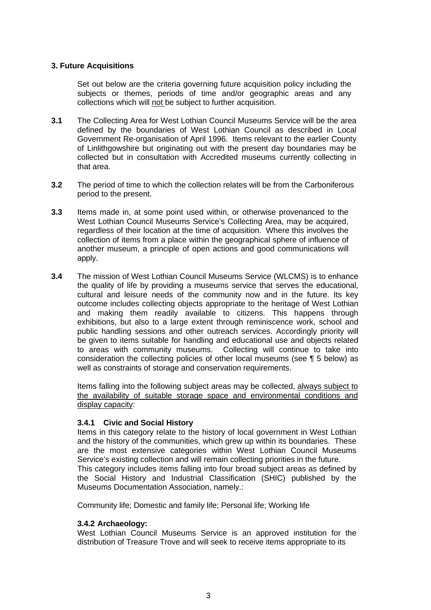# **3. Future Acquisitions**

Set out below are the criteria governing future acquisition policy including the subjects or themes, periods of time and/or geographic areas and any collections which will not be subject to further acquisition.

- **3.1** The Collecting Area for West Lothian Council Museums Service will be the area defined by the boundaries of West Lothian Council as described in Local Government Re-organisation of April 1996. Items relevant to the earlier County of Linlithgowshire but originating out with the present day boundaries may be collected but in consultation with Accredited museums currently collecting in that area.
- **3.2** The period of time to which the collection relates will be from the Carboniferous period to the present.
- **3.3** Items made in, at some point used within, or otherwise provenanced to the West Lothian Council Museums Service's Collecting Area, may be acquired, regardless of their location at the time of acquisition. Where this involves the collection of items from a place within the geographical sphere of influence of another museum, a principle of open actions and good communications will apply.
- **3.4** The mission of West Lothian Council Museums Service (WLCMS) is to enhance the quality of life by providing a museums service that serves the educational, cultural and leisure needs of the community now and in the future. Its key outcome includes collecting objects appropriate to the heritage of West Lothian and making them readily available to citizens. This happens through exhibitions, but also to a large extent through reminiscence work, school and public handling sessions and other outreach services. Accordingly priority will be given to items suitable for handling and educational use and objects related to areas with community museums. Collecting will continue to take into consideration the collecting policies of other local museums (see ¶ 5 below) as well as constraints of storage and conservation requirements.

Items falling into the following subject areas may be collected, always subject to the availability of suitable storage space and environmental conditions and display capacity:

# **3.4.1 Civic and Social History**

Items in this category relate to the history of local government in West Lothian and the history of the communities, which grew up within its boundaries. These are the most extensive categories within West Lothian Council Museums Service's existing collection and will remain collecting priorities in the future. This category includes items falling into four broad subject areas as defined by the Social History and Industrial Classification (SHIC) published by the Museums Documentation Association, namely.:

Community life; Domestic and family life; Personal life; Working life

### **3.4.2 Archaeology:**

West Lothian Council Museums Service is an approved institution for the distribution of Treasure Trove and will seek to receive items appropriate to its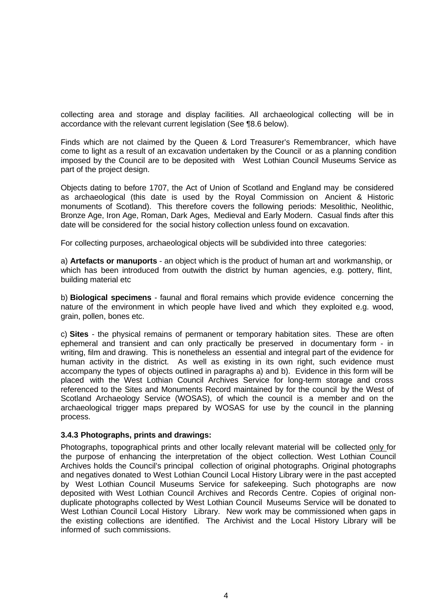collecting area and storage and display facilities. All archaeological collecting will be in accordance with the relevant current legislation (See ¶8.6 below).

Finds which are not claimed by the Queen & Lord Treasurer's Remembrancer, which have come to light as a result of an excavation undertaken by the Council or as a planning condition imposed by the Council are to be deposited with West Lothian Council Museums Service as part of the project design.

Objects dating to before 1707, the Act of Union of Scotland and England may be considered as archaeological (this date is used by the Royal Commission on Ancient & Historic monuments of Scotland). This therefore covers the following periods: Mesolithic, Neolithic, Bronze Age, Iron Age, Roman, Dark Ages, Medieval and Early Modern. Casual finds after this date will be considered for the social history collection unless found on excavation.

For collecting purposes, archaeological objects will be subdivided into three categories:

a) **Artefacts or manuports** - an object which is the product of human art and workmanship, or which has been introduced from outwith the district by human agencies, e.g. pottery, flint, building material etc

b) **Biological specimens** - faunal and floral remains which provide evidence concerning the nature of the environment in which people have lived and which they exploited e.g. wood, grain, pollen, bones etc.

c) **Sites** - the physical remains of permanent or temporary habitation sites. These are often ephemeral and transient and can only practically be preserved in documentary form - in writing, film and drawing. This is nonetheless an essential and integral part of the evidence for human activity in the district. As well as existing in its own right, such evidence must accompany the types of objects outlined in paragraphs a) and b). Evidence in this form will be placed with the West Lothian Council Archives Service for long-term storage and cross referenced to the Sites and Monuments Record maintained by for the council by the West of Scotland Archaeology Service (WOSAS), of which the council is a member and on the archaeological trigger maps prepared by WOSAS for use by the council in the planning process.

### **3.4.3 Photographs, prints and drawings:**

Photographs, topographical prints and other locally relevant material will be collected only for the purpose of enhancing the interpretation of the object collection. West Lothian Council Archives holds the Council's principal collection of original photographs. Original photographs and negatives donated to West Lothian Council Local History Library were in the past accepted by West Lothian Council Museums Service for safekeeping. Such photographs are now deposited with West Lothian Council Archives and Records Centre. Copies of original nonduplicate photographs collected by West Lothian Council Museums Service will be donated to West Lothian Council Local History Library. New work may be commissioned when gaps in the existing collections are identified. The Archivist and the Local History Library will be informed of such commissions.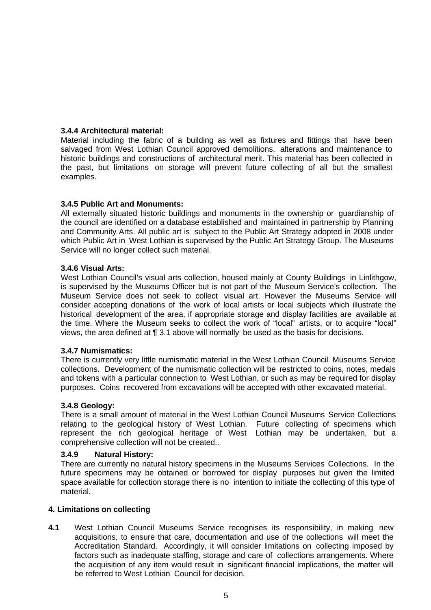# **3.4.4 Architectural material:**

Material including the fabric of a building as well as fixtures and fittings that have been salvaged from West Lothian Council approved demolitions, alterations and maintenance to historic buildings and constructions of architectural merit. This material has been collected in the past, but limitations on storage will prevent future collecting of all but the smallest examples.

# **3.4.5 Public Art and Monuments:**

All externally situated historic buildings and monuments in the ownership or guardianship of the council are identified on a database established and maintained in partnership by Planning and Community Arts. All public art is subject to the Public Art Strategy adopted in 2008 under which Public Art in West Lothian is supervised by the Public Art Strategy Group. The Museums Service will no longer collect such material.

# **3.4.6 Visual Arts:**

West Lothian Council's visual arts collection, housed mainly at County Buildings in Linlithgow, is supervised by the Museums Officer but is not part of the Museum Service's collection. The Museum Service does not seek to collect visual art. However the Museums Service will consider accepting donations of the work of local artists or local subjects which illustrate the historical development of the area, if appropriate storage and display facilities are available at the time. Where the Museum seeks to collect the work of "local" artists, or to acquire "local" views, the area defined at **¶** 3.1 above will normally be used as the basis for decisions.

# **3.4.7 Numismatics:**

There is currently very little numismatic material in the West Lothian Council Museums Service collections. Development of the numismatic collection will be restricted to coins, notes, medals and tokens with a particular connection to West Lothian, or such as may be required for display purposes. Coins recovered from excavations will be accepted with other excavated material.

# **3.4.8 Geology:**

There is a small amount of material in the West Lothian Council Museums Service Collections relating to the geological history of West Lothian. Future collecting of specimens which represent the rich geological heritage of West Lothian may be undertaken, but a comprehensive collection will not be created..

# **3.4.9 Natural History:**

There are currently no natural history specimens in the Museums Services Collections. In the future specimens may be obtained or borrowed for display purposes but given the limited space available for collection storage there is no intention to initiate the collecting of this type of material.

# **4. Limitations on collecting**

**4.1** West Lothian Council Museums Service recognises its responsibility, in making new acquisitions, to ensure that care, documentation and use of the collections will meet the Accreditation Standard. Accordingly, it will consider limitations on collecting imposed by factors such as inadequate staffing, storage and care of collections arrangements. Where the acquisition of any item would result in significant financial implications, the matter will be referred to West Lothian Council for decision.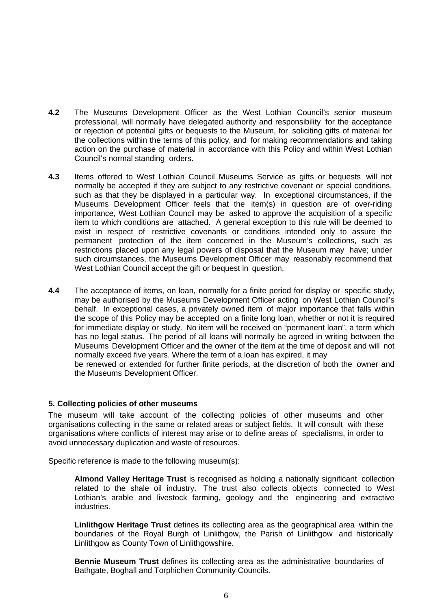- **4.2** The Museums Development Officer as the West Lothian Council's senior museum professional, will normally have delegated authority and responsibility for the acceptance or rejection of potential gifts or bequests to the Museum, for soliciting gifts of material for the collections within the terms of this policy, and for making recommendations and taking action on the purchase of material in accordance with this Policy and within West Lothian Council's normal standing orders.
- **4.3** Items offered to West Lothian Council Museums Service as gifts or bequests will not normally be accepted if they are subject to any restrictive covenant or special conditions, such as that they be displayed in a particular way. In exceptional circumstances, if the Museums Development Officer feels that the item(s) in question are of over-riding importance, West Lothian Council may be asked to approve the acquisition of a specific item to which conditions are attached. A general exception to this rule will be deemed to exist in respect of restrictive covenants or conditions intended only to assure the permanent protection of the item concerned in the Museum's collections, such as restrictions placed upon any legal powers of disposal that the Museum may have; under such circumstances, the Museums Development Officer may reasonably recommend that West Lothian Council accept the gift or bequest in question.
- **4.4** The acceptance of items, on loan, normally for a finite period for display or specific study, may be authorised by the Museums Development Officer acting on West Lothian Council's behalf. In exceptional cases, a privately owned item of major importance that falls within the scope of this Policy may be accepted on a finite long loan, whether or not it is required for immediate display or study. No item will be received on "permanent loan", a term which has no legal status. The period of all loans will normally be agreed in writing between the Museums Development Officer and the owner of the item at the time of deposit and will not normally exceed five years. Where the term of a loan has expired, it may be renewed or extended for further finite periods, at the discretion of both the owner and the Museums Development Officer.

### **5. Collecting policies of other museums**

The museum will take account of the collecting policies of other museums and other organisations collecting in the same or related areas or subject fields. It will consult with these organisations where conflicts of interest may arise or to define areas of specialisms, in order to avoid unnecessary duplication and waste of resources.

Specific reference is made to the following museum(s):

**Almond Valley Heritage Trust** is recognised as holding a nationally significant collection related to the shale oil industry. The trust also collects objects connected to West Lothian's arable and livestock farming, geology and the engineering and extractive industries.

**Linlithgow Heritage Trust** defines its collecting area as the geographical area within the boundaries of the Royal Burgh of Linlithgow, the Parish of Linlithgow and historically Linlithgow as County Town of Linlithgowshire.

**Bennie Museum Trust** defines its collecting area as the administrative boundaries of Bathgate, Boghall and Torphichen Community Councils.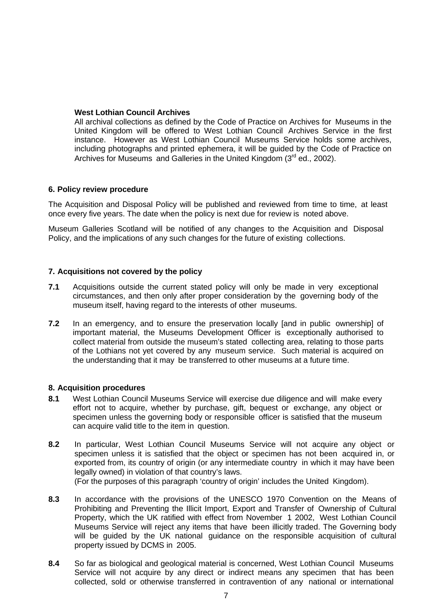## **West Lothian Council Archives**

All archival collections as defined by the Code of Practice on Archives for Museums in the United Kingdom will be offered to West Lothian Council Archives Service in the first instance. However as West Lothian Council Museums Service holds some archives, including photographs and printed ephemera, it will be guided by the Code of Practice on Archives for Museums and Galleries in the United Kingdom (3<sup>rd</sup> ed., 2002).

## **6. Policy review procedure**

The Acquisition and Disposal Policy will be published and reviewed from time to time, at least once every five years. The date when the policy is next due for review is noted above.

Museum Galleries Scotland will be notified of any changes to the Acquisition and Disposal Policy, and the implications of any such changes for the future of existing collections.

## **7. Acquisitions not covered by the policy**

- **7.1** Acquisitions outside the current stated policy will only be made in very exceptional circumstances, and then only after proper consideration by the governing body of the museum itself, having regard to the interests of other museums.
- **7.2** In an emergency, and to ensure the preservation locally [and in public ownership] of important material, the Museums Development Officer is exceptionally authorised to collect material from outside the museum's stated collecting area, relating to those parts of the Lothians not yet covered by any museum service. Such material is acquired on the understanding that it may be transferred to other museums at a future time.

### **8. Acquisition procedures**

- **8.1** West Lothian Council Museums Service will exercise due diligence and will make every effort not to acquire, whether by purchase, gift, bequest or exchange, any object or specimen unless the governing body or responsible officer is satisfied that the museum can acquire valid title to the item in question.
- **8.2** In particular, West Lothian Council Museums Service will not acquire any object or specimen unless it is satisfied that the object or specimen has not been acquired in, or exported from, its country of origin (or any intermediate country in which it may have been legally owned) in violation of that country's laws.

(For the purposes of this paragraph 'country of origin' includes the United Kingdom).

- **8.3** In accordance with the provisions of the UNESCO 1970 Convention on the Means of Prohibiting and Preventing the Illicit Import, Export and Transfer of Ownership of Cultural Property, which the UK ratified with effect from November 1 2002, West Lothian Council Museums Service will reject any items that have been illicitly traded. The Governing body will be guided by the UK national guidance on the responsible acquisition of cultural property issued by DCMS in 2005.
- **8.4** So far as biological and geological material is concerned, West Lothian Council Museums Service will not acquire by any direct or indirect means any specimen that has been collected, sold or otherwise transferred in contravention of any national or international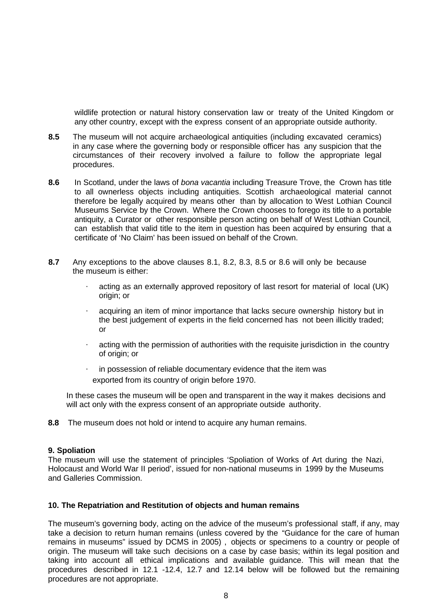wildlife protection or natural history conservation law or treaty of the United Kingdom or any other country, except with the express consent of an appropriate outside authority.

- **8.5** The museum will not acquire archaeological antiquities (including excavated ceramics) in any case where the governing body or responsible officer has any suspicion that the circumstances of their recovery involved a failure to follow the appropriate legal procedures.
- **8.6** In Scotland, under the laws of *bona vacantia* including Treasure Trove, the Crown has title to all ownerless objects including antiquities. Scottish archaeological material cannot therefore be legally acquired by means other than by allocation to West Lothian Council Museums Service by the Crown. Where the Crown chooses to forego its title to a portable antiquity, a Curator or other responsible person acting on behalf of West Lothian Council*,*  can establish that valid title to the item in question has been acquired by ensuring that a certificate of 'No Claim' has been issued on behalf of the Crown.
- **8.7** Any exceptions to the above clauses 8.1, 8.2, 8.3, 8.5 or 8.6 will only be because the museum is either:
	- acting as an externally approved repository of last resort for material of local (UK) origin; or
	- acquiring an item of minor importance that lacks secure ownership history but in the best judgement of experts in the field concerned has not been illicitly traded; or
	- acting with the permission of authorities with the requisite jurisdiction in the country of origin; or
	- · in possession of reliable documentary evidence that the item was exported from its country of origin before 1970.

In these cases the museum will be open and transparent in the way it makes decisions and will act only with the express consent of an appropriate outside authority.

**8.8** The museum does not hold or intend to acquire any human remains.

# **9. Spoliation**

The museum will use the statement of principles 'Spoliation of Works of Art during the Nazi, Holocaust and World War II period', issued for non-national museums in 1999 by the Museums and Galleries Commission.

### **10. The Repatriation and Restitution of objects and human remains**

The museum's governing body, acting on the advice of the museum's professional staff, if any, may take a decision to return human remains (unless covered by the "Guidance for the care of human remains in museums" issued by DCMS in 2005) , objects or specimens to a country or people of origin. The museum will take such decisions on a case by case basis; within its legal position and taking into account all ethical implications and available guidance. This will mean that the procedures described in 12.1 -12.4, 12.7 and 12.14 below will be followed but the remaining procedures are not appropriate.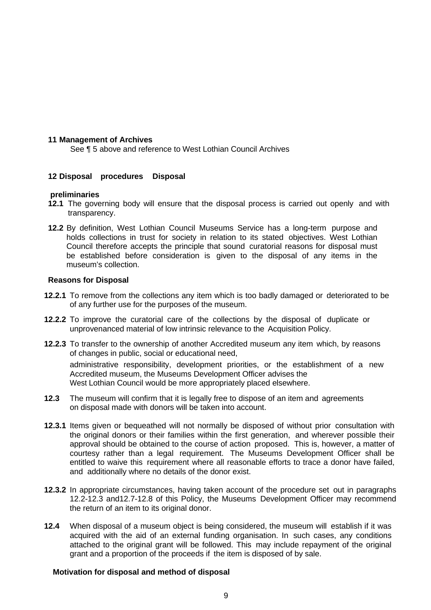## **11 Management of Archives**

See ¶ 5 above and reference to West Lothian Council Archives

# **12 Disposal procedures Disposal**

### **preliminaries**

- **12.1** The governing body will ensure that the disposal process is carried out openly and with transparency.
- **12.2** By definition, West Lothian Council Museums Service has a long-term purpose and holds collections in trust for society in relation to its stated objectives. West Lothian Council therefore accepts the principle that sound curatorial reasons for disposal must be established before consideration is given to the disposal of any items in the museum's collection.

#### **Reasons for Disposal**

- **12.2.1** To remove from the collections any item which is too badly damaged or deteriorated to be of any further use for the purposes of the museum.
- **12.2.2** To improve the curatorial care of the collections by the disposal of duplicate or unprovenanced material of low intrinsic relevance to the Acquisition Policy.
- **12.2.3** To transfer to the ownership of another Accredited museum any item which, by reasons of changes in public, social or educational need, administrative responsibility, development priorities, or the establishment of a new Accredited museum, the Museums Development Officer advises the West Lothian Council would be more appropriately placed elsewhere.
- **12.3** The museum will confirm that it is legally free to dispose of an item and agreements on disposal made with donors will be taken into account.
- **12.3.1** Items given or bequeathed will not normally be disposed of without prior consultation with the original donors or their families within the first generation, and wherever possible their approval should be obtained to the course of action proposed. This is, however, a matter of courtesy rather than a legal requirement. The Museums Development Officer shall be entitled to waive this requirement where all reasonable efforts to trace a donor have failed, and additionally where no details of the donor exist.
- **12.3.2** In appropriate circumstances, having taken account of the procedure set out in paragraphs 12.2-12.3 and12.7-12.8 of this Policy, the Museums Development Officer may recommend the return of an item to its original donor.
- **12.4** When disposal of a museum object is being considered, the museum will establish if it was acquired with the aid of an external funding organisation. In such cases, any conditions attached to the original grant will be followed. This may include repayment of the original grant and a proportion of the proceeds if the item is disposed of by sale.

### **Motivation for disposal and method of disposal**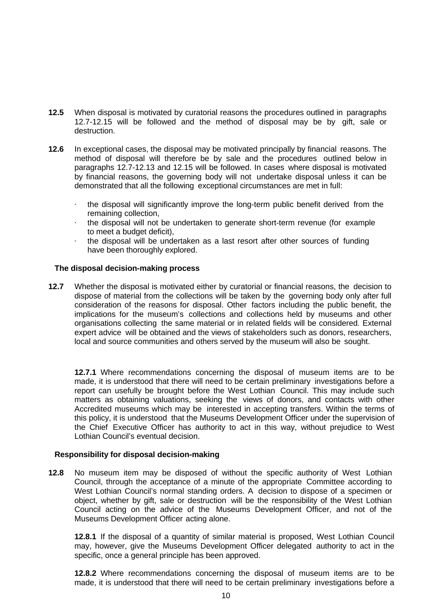- **12.5** When disposal is motivated by curatorial reasons the procedures outlined in paragraphs 12.7-12.15 will be followed and the method of disposal may be by gift, sale or destruction.
- **12.6** In exceptional cases, the disposal may be motivated principally by financial reasons. The method of disposal will therefore be by sale and the procedures outlined below in paragraphs 12.7-12.13 and 12.15 will be followed. In cases where disposal is motivated by financial reasons, the governing body will not undertake disposal unless it can be demonstrated that all the following exceptional circumstances are met in full:
	- · the disposal will significantly improve the long-term public benefit derived from the remaining collection,
	- · the disposal will not be undertaken to generate short-term revenue (for example to meet a budget deficit),
	- the disposal will be undertaken as a last resort after other sources of funding have been thoroughly explored.

# **The disposal decision-making process**

**12.7** Whether the disposal is motivated either by curatorial or financial reasons, the decision to dispose of material from the collections will be taken by the governing body only after full consideration of the reasons for disposal. Other factors including the public benefit, the implications for the museum's collections and collections held by museums and other organisations collecting the same material or in related fields will be considered*.* External expert advice will be obtained and the views of stakeholders such as donors, researchers, local and source communities and others served by the museum will also be sought.

**12.7.1** Where recommendations concerning the disposal of museum items are to be made, it is understood that there will need to be certain preliminary investigations before a report can usefully be brought before the West Lothian Council. This may include such matters as obtaining valuations, seeking the views of donors, and contacts with other Accredited museums which may be interested in accepting transfers. Within the terms of this policy, it is understood that the Museums Development Officer under the supervision of the Chief Executive Officer has authority to act in this way, without prejudice to West Lothian Council's eventual decision.

# **Responsibility for disposal decision-making**

**12.8** No museum item may be disposed of without the specific authority of West Lothian Council, through the acceptance of a minute of the appropriate Committee according to West Lothian Council's normal standing orders. A decision to dispose of a specimen or object, whether by gift, sale or destruction will be the responsibility of the West Lothian Council acting on the advice of the Museums Development Officer, and not of the Museums Development Officer acting alone.

**12.8.1** If the disposal of a quantity of similar material is proposed, West Lothian Council may, however, give the Museums Development Officer delegated authority to act in the specific, once a general principle has been approved.

**12.8.2** Where recommendations concerning the disposal of museum items are to be made, it is understood that there will need to be certain preliminary investigations before a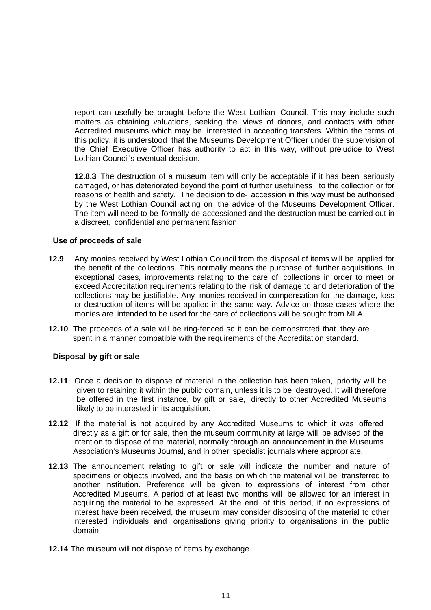report can usefully be brought before the West Lothian Council. This may include such matters as obtaining valuations, seeking the views of donors, and contacts with other Accredited museums which may be interested in accepting transfers. Within the terms of this policy, it is understood that the Museums Development Officer under the supervision of the Chief Executive Officer has authority to act in this way, without prejudice to West Lothian Council's eventual decision.

**12.8.3** The destruction of a museum item will only be acceptable if it has been seriously damaged, or has deteriorated beyond the point of further usefulness to the collection or for reasons of health and safety. The decision to de- accession in this way must be authorised by the West Lothian Council acting on the advice of the Museums Development Officer. The item will need to be formally de-accessioned and the destruction must be carried out in a discreet, confidential and permanent fashion.

# **Use of proceeds of sale**

- **12.9** Any monies received by West Lothian Council from the disposal of items will be applied for the benefit of the collections. This normally means the purchase of further acquisitions. In exceptional cases, improvements relating to the care of collections in order to meet or exceed Accreditation requirements relating to the risk of damage to and deterioration of the collections may be justifiable. Any monies received in compensation for the damage, loss or destruction of items will be applied in the same way. Advice on those cases where the monies are intended to be used for the care of collections will be sought from MLA.
- **12.10** The proceeds of a sale will be ring-fenced so it can be demonstrated that they are spent in a manner compatible with the requirements of the Accreditation standard.

## **Disposal by gift or sale**

- **12.11** Once a decision to dispose of material in the collection has been taken, priority will be given to retaining it within the public domain, unless it is to be destroyed. It will therefore be offered in the first instance, by gift or sale, directly to other Accredited Museums likely to be interested in its acquisition.
- **12.12** If the material is not acquired by any Accredited Museums to which it was offered directly as a gift or for sale, then the museum community at large will be advised of the intention to dispose of the material, normally through an announcement in the Museums Association's Museums Journal, and in other specialist journals where appropriate.
- **12.13** The announcement relating to gift or sale will indicate the number and nature of specimens or objects involved, and the basis on which the material will be transferred to another institution. Preference will be given to expressions of interest from other Accredited Museums. A period of at least two months will be allowed for an interest in acquiring the material to be expressed. At the end of this period, if no expressions of interest have been received, the museum may consider disposing of the material to other interested individuals and organisations giving priority to organisations in the public domain.
- **12.14** The museum will not dispose of items by exchange.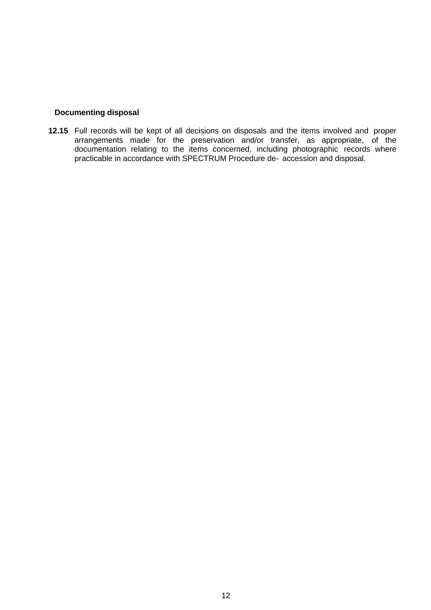## **Documenting disposal**

**12.15** Full records will be kept of all decisions on disposals and the items involved and proper arrangements made for the preservation and/or transfer, as appropriate, of the documentation relating to the items concerned, including photographic records where practicable in accordance with SPECTRUM Procedure de- accession and disposal.